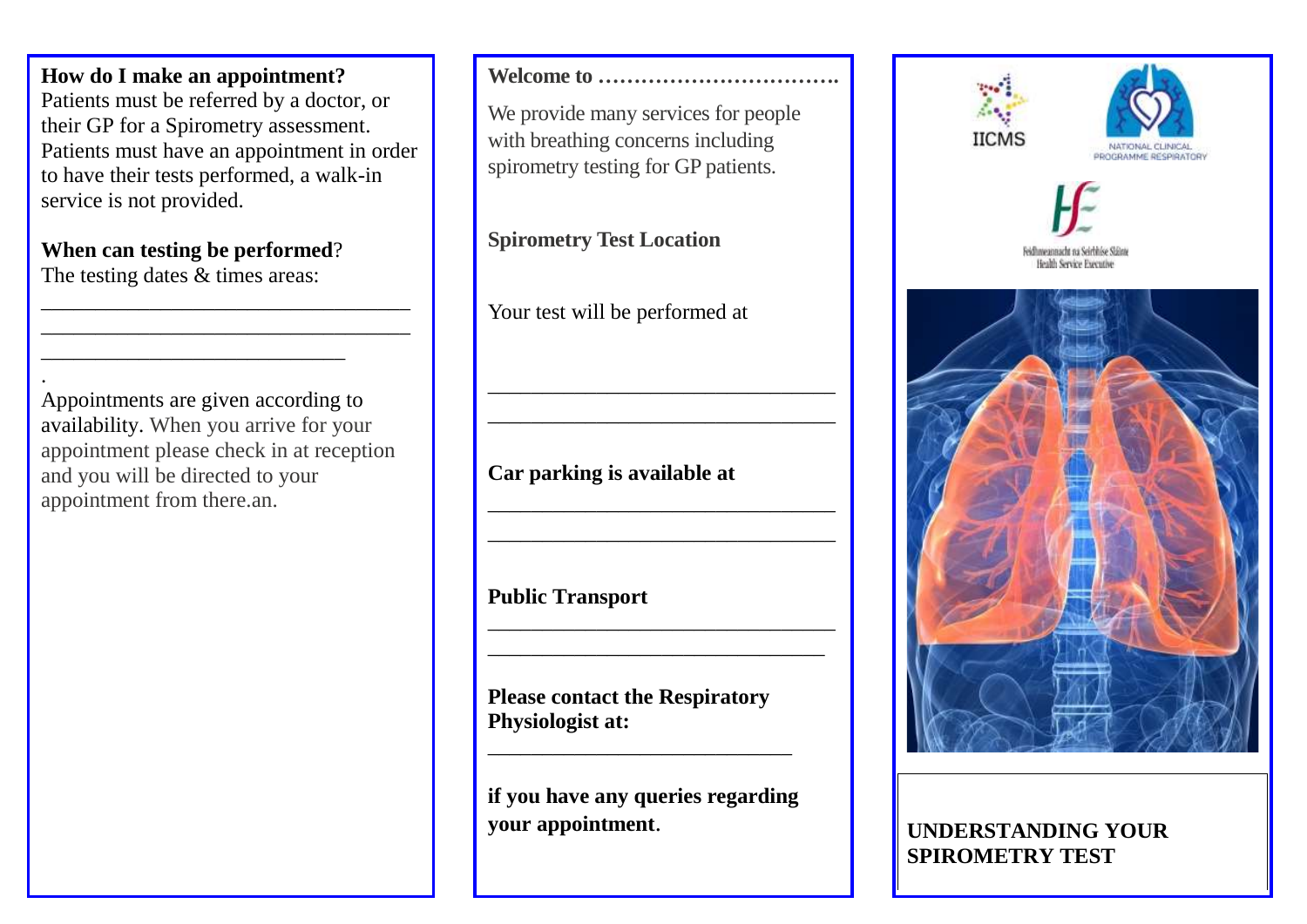**How do I make an appointment?** Patients must be referred by a doctor, or their GP for a Spirometry assessment. Patients must have an appointment in order to have their tests performed, a walk-in service is not provided.

\_\_\_\_\_\_\_\_\_\_\_\_\_\_\_\_\_\_\_\_\_\_\_\_\_\_\_\_\_\_\_\_\_\_ \_\_\_\_\_\_\_\_\_\_\_\_\_\_\_\_\_\_\_\_\_\_\_\_\_\_\_\_\_\_\_\_\_\_

#### **When can testing be performed**?

\_\_\_\_\_\_\_\_\_\_\_\_\_\_\_\_\_\_\_\_\_\_\_\_\_\_\_\_

The testing dates & times areas:

. Appointments are given according to availability. When you arrive for your appointment please check in at reception and you will be directed to your appointment from there.an.

### **Welcome to …………………………….**

We provide many services for people with breathing concerns including spirometry testing for GP patients.

### **Spirometry Test Location**

Your test will be performed at

\_\_\_\_\_\_\_\_\_\_\_\_\_\_\_\_\_\_\_\_\_\_\_\_\_\_\_\_\_\_\_\_ \_\_\_\_\_\_\_\_\_\_\_\_\_\_\_\_\_\_\_\_\_\_\_\_\_\_\_\_\_\_\_\_

\_\_\_\_\_\_\_\_\_\_\_\_\_\_\_\_\_\_\_\_\_\_\_\_\_\_\_\_\_\_\_\_ \_\_\_\_\_\_\_\_\_\_\_\_\_\_\_\_\_\_\_\_\_\_\_\_\_\_\_\_\_\_\_\_

\_\_\_\_\_\_\_\_\_\_\_\_\_\_\_\_\_\_\_\_\_\_\_\_\_\_\_\_\_\_\_\_ \_\_\_\_\_\_\_\_\_\_\_\_\_\_\_\_\_\_\_\_\_\_\_\_\_\_\_\_\_\_\_

# **Car parking is available at**

**Public Transport**

**Please contact the Respiratory Physiologist at:**

**if you have any queries regarding your appointment**.

\_\_\_\_\_\_\_\_\_\_\_\_\_\_\_\_\_\_\_\_\_\_\_\_\_\_\_\_









### **UNDERSTANDING YOUR SPIROMETRY TEST**